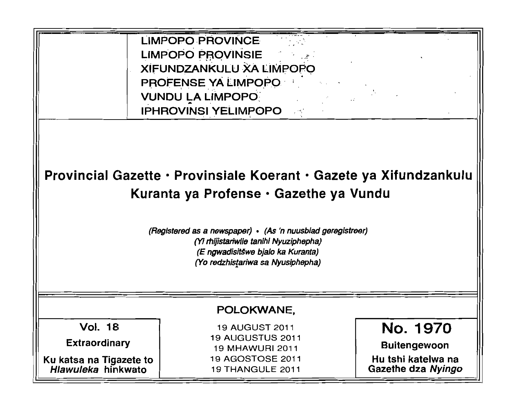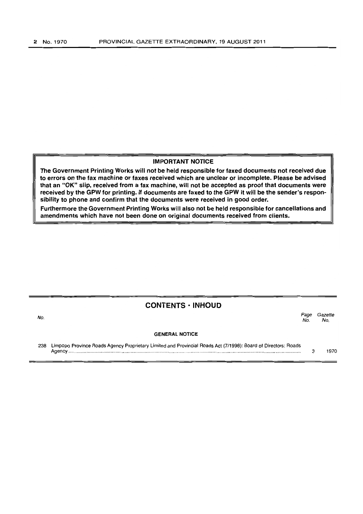#### IMPORTANT NOTICE

The Government Printing Works will not be held responsible for faxed documents not received due to errors on the fax machine or faxes received which are unclear or incomplete. Please be advised that an "OK" slip, received from a fax machine, will not be accepted as proof that documents were received by the GPW for printing. If documents are faxed to the GPW it will be the sender's responsibility to phone and confirm that the documents were received in good order.

Furthermore the Government Printing Works will also not be held responsible for cancellations and amendments which have not been done on original documents received from clients.

### CONTENTS· INHOUD

| No. |                                                                                                                | Page<br>No. | Gazette<br>No. |
|-----|----------------------------------------------------------------------------------------------------------------|-------------|----------------|
|     | <b>GENERAL NOTICE</b>                                                                                          |             |                |
| 238 | Limpopo Province Roads Agency Proprietary Limited and Provincial Roads Act (7/1998): Board of Directors: Roads |             |                |

Agency .......................................................................................................................................................................... . 3 1970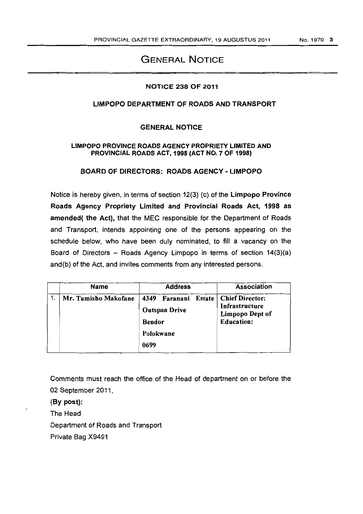# GENERAL NOTICE

### NOTICE 238 OF 2011

## LIMPOPO DEPARTMENT OF ROADS AND TRANSPORT

### GENERAL NOTICE

#### LIMPOPO PROVINCE ROADS AGENCY PROPRIETY LIMITED AND PROVINCIAL ROADS ACT, 1998 (ACT NO.7 OF 1998)

### BOARD OF DIRECTORS: ROADS AGENCY - LIMPOPO

Notice is hereby given, in terms of section 12(3) (c) of the limpopo Province Roads Agency Propriety limited and Provincial Roads Act, 1998 as amended( the Act), that the MEC responsible for the Department of Roads and Transport, intends appointing one of the persons appearing on the schedule below, who have been duly nominated, to fill a vacancy on the Board of Directors  $-$  Roads Agency Limpopo in terms of section  $14(3)(a)$ and (b) of the Act, and invites comments from any interested persons.

| <b>Name</b>          | <b>Address</b>                                                                | <b>Association</b>                                                               |
|----------------------|-------------------------------------------------------------------------------|----------------------------------------------------------------------------------|
| Mr. Tumisho Makofane | 4349 Faranani<br>Estate<br><b>Outspan Drive</b><br><b>Bendor</b><br>Polokwane | <b>Chief Director:</b><br>Infrastructure<br>Limpopo Dept of<br><b>Education:</b> |
|                      | 0699                                                                          |                                                                                  |

Comments must reach the office of the Head of department on or before the 02 September 2011,

(By post):

The Head

Department of Roads and Transport

Private Bag X9491